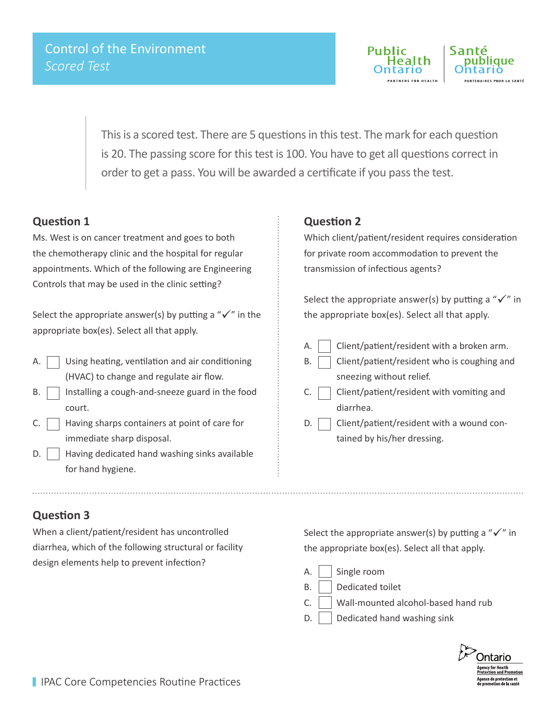

This is a scored test. There are 5 questions in this test. The mark for each question is 20. The passing score for this test is 100. You have to get all questions correct in order to get a pass. You will be awarded a certificate if you pass the test.

### **Question 1**

Ms. West is on cancer treatment and goes to both the chemotherapy clinic and the hospital for regular appointments. Which of the following are Engineering Controls that may be used in the clinic setting?

Select the appropriate answer(s) by putting a " $\checkmark$ " in the appropriate box(es). Select all that apply.

- A.  $\Box$  Using heating, ventilation and air conditioning (HVAC) to change and regulate air flow.
- $B.$  | Installing a cough-and-sneeze guard in the food court.
- C.  $\vert$  Having sharps containers at point of care for immediate sharp disposal.
- $\mathsf{D}$ . | Having dedicated hand washing sinks available for hand hygiene.

#### **Question 2**

Which client/patient/resident requires consideration for private room accommodation to prevent the transmission of infectious agents?

Select the appropriate answer(s) by putting a " $\checkmark$ " in the appropriate box(es). Select all that apply.

- $A.$  | Client/patient/resident with a broken arm.
- $B.$  Client/patient/resident who is coughing and sneezing without relief.
- C.  $\vert$   $\vert$  Client/patient/resident with vomiting and diarrhea.
- D. Client/patient/resident with a wound contained by his/her dressing.

## **Question 3**

When a client/patient/resident has uncontrolled diarrhea, which of the following structural or facility design elements help to prevent infection?

Select the appropriate answer(s) by putting a " $\checkmark$ " in the appropriate box(es). Select all that apply.

- A. | Single room
- B. | Dedicated toilet
- $C.$  Wall-mounted alcohol-based hand rub
- $D.$  Dedicated hand washing sink

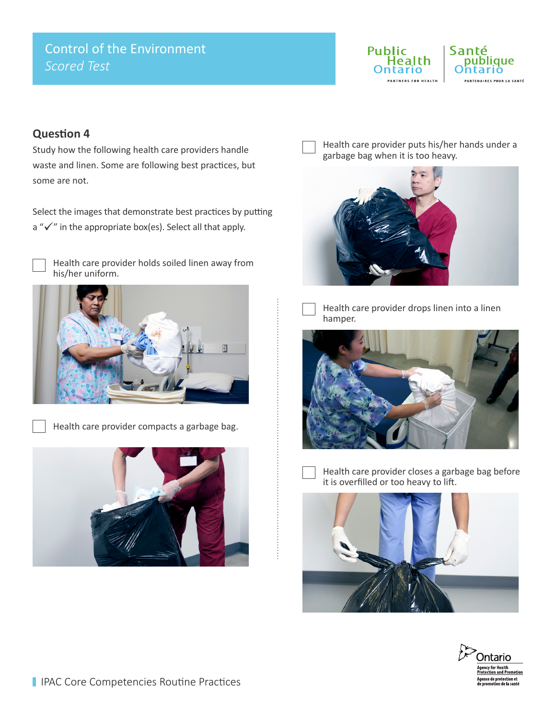# Control of the Environment *Scored Test*



## **Question 4**

Study how the following health care providers handle waste and linen. Some are following best practices, but some are not.

Select the images that demonstrate best practices by putting a " $\checkmark$ " in the appropriate box(es). Select all that apply.



Health care provider holds soiled linen away from his/her uniform.



Health care provider compacts a garbage bag.



Health care provider puts his/her hands under a garbage bag when it is too heavy.





Health care provider drops linen into a linen hamper.





Health care provider closes a garbage bag before it is overfilled or too heavy to lift.